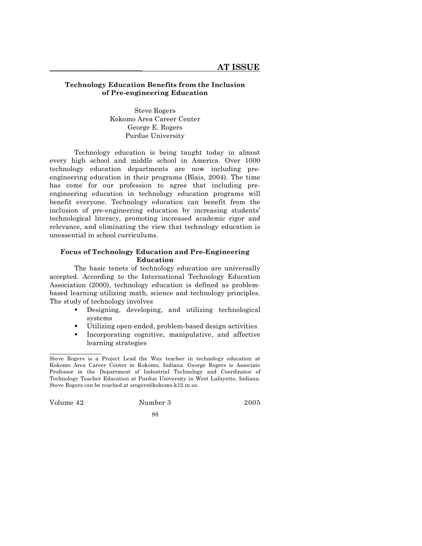# **\_\_\_\_\_\_\_\_\_\_\_\_\_\_\_\_\_\_\_\_\_\_\_\_\_\_\_ AT ISSUE**

# **Technology Education Benefits from the Inclusion of Pre-engineering Education**

Steve Rogers Kokomo Area Career Center George E. Rogers Purdue University

Technology education is being taught today in almost every high school and middle school in America. Over 1000 technology education departments are now including preengineering education in their programs (Blais, 2004). The time has come for our profession to agree that including preengineering education in technology education programs will benefit everyone. Technology education can benefit from the inclusion of pre-engineering education by increasing students' technological literacy, promoting increased academic rigor and relevance, and eliminating the view that technology education is unessential in school curriculums.

## **Focus of Technology Education and Pre-Engineering Education**

The basic tenets of technology education are universally accepted. According to the International Technology Education Association (2000), technology education is defined as problembased learning utilizing math, science and technology principles. The study of technology involves

- Designing, developing, and utilizing technological systems
- Utilizing open-ended, problem-based design activities
- Incorporating cognitive, manipulative, and affective learning strategies

Volume 42 Number 3 2005

\_\_\_\_\_\_\_\_\_\_\_\_\_\_\_

88

Steve Rogers is a Project Lead the Way teacher in technology education at Kokomo Area Career Center in Kokomo, Indiana. George Rogers is Associate Professor in the Department of Industrial Technology and Coordinator of Technology Teacher Education at Purdue University in West Lafayette, Indiana. Steve Rogers can be reached at srogers@kokomo.k12.in.us.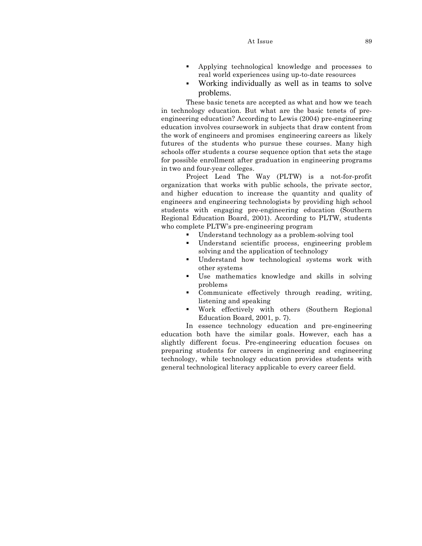- Applying technological knowledge and processes to real world experiences using up-to-date resources
- Working individually as well as in teams to solve problems.

These basic tenets are accepted as what and how we teach in technology education. But what are the basic tenets of preengineering education? According to Lewis (2004) pre-engineering education involves coursework in subjects that draw content from the work of engineers and promises engineering careers as likely futures of the students who pursue these courses. Many high schools offer students a course sequence option that sets the stage for possible enrollment after graduation in engineering programs in two and four-year colleges.

Project Lead The Way (PLTW) is a not-for-profit organization that works with public schools, the private sector, and higher education to increase the quantity and quality of engineers and engineering technologists by providing high school students with engaging pre-engineering education (Southern Regional Education Board, 2001). According to PLTW, students who complete PLTW's pre-engineering program

- Understand technology as a problem-solving tool
- Understand scientific process, engineering problem solving and the application of technology
- Understand how technological systems work with other systems
- Use mathematics knowledge and skills in solving problems
- Communicate effectively through reading, writing, listening and speaking
- Work effectively with others (Southern Regional Education Board, 2001, p. 7).

In essence technology education and pre-engineering education both have the similar goals. However, each has a slightly different focus. Pre-engineering education focuses on preparing students for careers in engineering and engineering technology, while technology education provides students with general technological literacy applicable to every career field.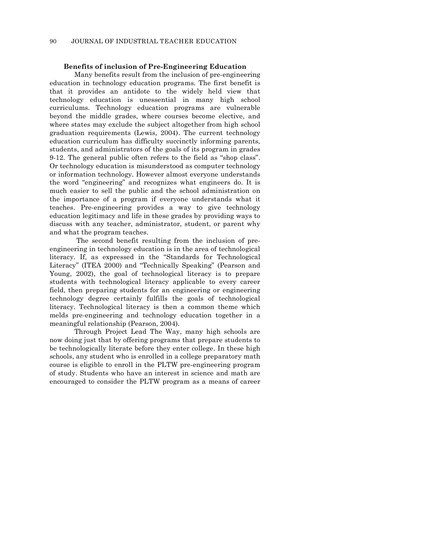### **Benefits of inclusion of Pre-Engineering Education**

Many benefits result from the inclusion of pre-engineering education in technology education programs. The first benefit is that it provides an antidote to the widely held view that technology education is unessential in many high school curriculums. Technology education programs are vulnerable beyond the middle grades, where courses become elective, and where states may exclude the subject altogether from high school graduation requirements (Lewis, 2004). The current technology education curriculum has difficulty succinctly informing parents, students, and administrators of the goals of its program in grades 9-12. The general public often refers to the field as "shop class". Or technology education is misunderstood as computer technology or information technology. However almost everyone understands the word "engineering" and recognizes what engineers do. It is much easier to sell the public and the school administration on the importance of a program if everyone understands what it teaches. Pre-engineering provides a way to give technology education legitimacy and life in these grades by providing ways to discuss with any teacher, administrator, student, or parent why and what the program teaches.

The second benefit resulting from the inclusion of preengineering in technology education is in the area of technological literacy. If, as expressed in the "Standards for Technological Literacy" (ITEA 2000) and "Technically Speaking" (Pearson and Young, 2002), the goal of technological literacy is to prepare students with technological literacy applicable to every career field, then preparing students for an engineering or engineering technology degree certainly fulfills the goals of technological literacy. Technological literacy is then a common theme which melds pre-engineering and technology education together in a meaningful relationship (Pearson, 2004).

Through Project Lead The Way, many high schools are now doing just that by offering programs that prepare students to be technologically literate before they enter college. In these high schools, any student who is enrolled in a college preparatory math course is eligible to enroll in the PLTW pre-engineering program of study. Students who have an interest in science and math are encouraged to consider the PLTW program as a means of career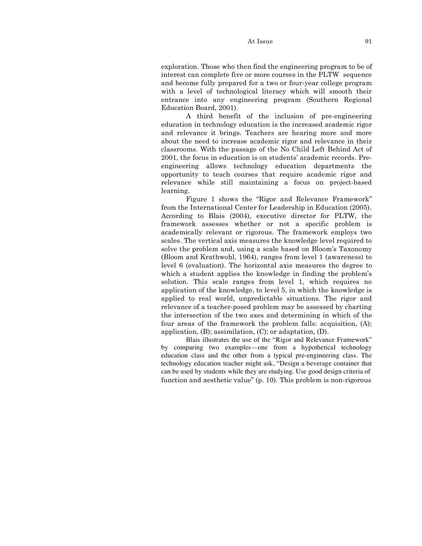exploration. Those who then find the engineering program to be of interest can complete five or more courses in the PLTW sequence and become fully prepared for a two or four-year college program with a level of technological literacy which will smooth their entrance into any engineering program (Southern Regional Education Board, 2001).

A third benefit of the inclusion of pre-engineering education in technology education is the increased academic rigor and relevance it brings. Teachers are hearing more and more about the need to increase academic rigor and relevance in their classrooms. With the passage of the No Child Left Behind Act of 2001, the focus in education is on students' academic records. Preengineering allows technology education departments the opportunity to teach courses that require academic rigor and relevance while still maintaining a focus on project-based learning.

Figure 1 shows the "Rigor and Relevance Framework" from the International Center for Leadership in Education (2005). According to Blais (2004), executive director for PLTW, the framework assesses whether or not a specific problem is academically relevant or rigorous. The framework employs two scales. The vertical axis measures the knowledge level required to solve the problem and, using a scale based on Bloom's Taxonomy (Bloom and Krathwohl, 1964), ranges from level 1 (awareness) to level 6 (evaluation). The horizontal axis measures the degree to which a student applies the knowledge in finding the problem's solution. This scale ranges from level 1, which requires no application of the knowledge, to level 5, in which the knowledge is applied to real world, unpredictable situations. The rigor and relevance of a teacher-posed problem may be assessed by charting the intersection of the two axes and determining in which of the four areas of the framework the problem falls: acquisition, (A); application, (B); assimilation, (C); or adaptation, (D).

Blais illustrates the use of the "Rigor and Relevance Framework" by comparing two examples—one from a hypothetical technology education class and the other from a typical pre-engineering class. The technology education teacher might ask, "Design a beverage container that can be used by students while they are studying. Use good design criteria of function and aesthetic value" (p. 10). This problem is non-rigorous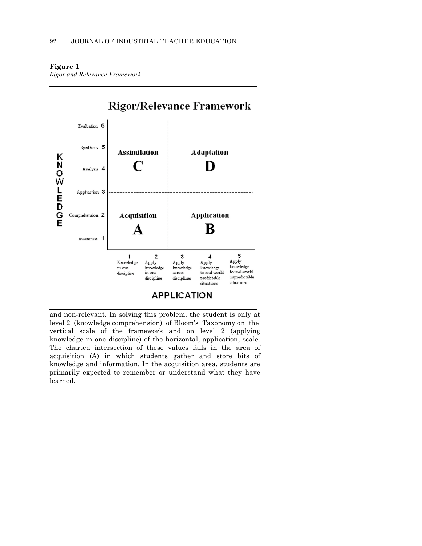## **Figure 1**

*Rigor and Relevance Framework*



**APPLICATION** 

and non-relevant. In solving this problem, the student is only at level 2 (knowledge comprehension) of Bloom's Taxonomy on the vertical scale of the framework and on level 2 (applying knowledge in one discipline) of the horizontal, application, scale. The charted intersection of these values falls in the area of acquisition (A) in which students gather and store bits of knowledge and information. In the acquisition area, students are primarily expected to remember or understand what they have learned.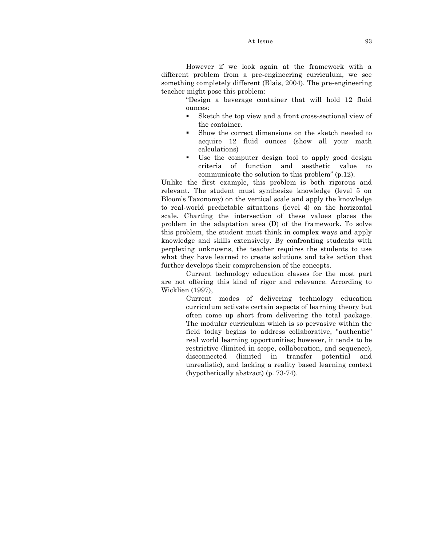#### At Issue 93

However if we look again at the framework with a different problem from a pre-engineering curriculum, we see something completely different (Blais, 2004). The pre-engineering teacher might pose this problem:

> "Design a beverage container that will hold 12 fluid ounces:

- Sketch the top view and a front cross-sectional view of the container.
- Show the correct dimensions on the sketch needed to acquire 12 fluid ounces (show all your math calculations)
- Use the computer design tool to apply good design criteria of function and aesthetic value to communicate the solution to this problem" (p.12).

Unlike the first example, this problem is both rigorous and relevant. The student must synthesize knowledge (level 5 on Bloom's Taxonomy) on the vertical scale and apply the knowledge to real-world predictable situations (level 4) on the horizontal scale. Charting the intersection of these values places the problem in the adaptation area (D) of the framework. To solve this problem, the student must think in complex ways and apply knowledge and skills extensively. By confronting students with perplexing unknowns, the teacher requires the students to use what they have learned to create solutions and take action that further develops their comprehension of the concepts.

Current technology education classes for the most part are not offering this kind of rigor and relevance. According to Wicklien (1997),

> Current modes of delivering technology education curriculum activate certain aspects of learning theory but often come up short from delivering the total package. The modular curriculum which is so pervasive within the field today begins to address collaborative, "authentic" real world learning opportunities; however, it tends to be restrictive (limited in scope, collaboration, and sequence), disconnected (limited in transfer potential and unrealistic), and lacking a reality based learning context (hypothetically abstract) (p. 73-74).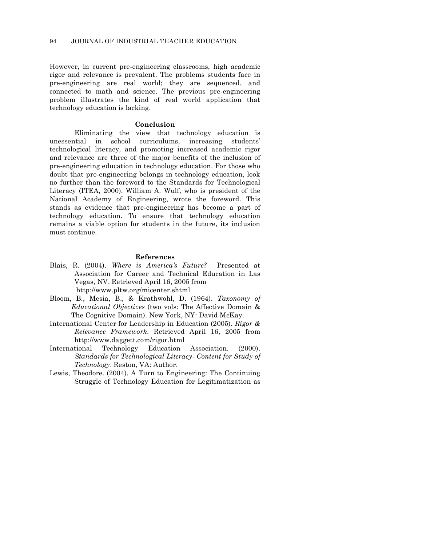However, in current pre-engineering classrooms, high academic rigor and relevance is prevalent. The problems students face in pre-engineering are real world; they are sequenced, and connected to math and science. The previous pre-engineering problem illustrates the kind of real world application that technology education is lacking.

#### **Conclusion**

Eliminating the view that technology education is unessential in school curriculums, increasing students' technological literacy, and promoting increased academic rigor and relevance are three of the major benefits of the inclusion of pre-engineering education in technology education. For those who doubt that pre-engineering belongs in technology education, look no further than the foreword to the Standards for Technological Literacy (ITEA, 2000). William A. Wulf, who is president of the National Academy of Engineering, wrote the foreword. This stands as evidence that pre-engineering has become a part of technology education. To ensure that technology education remains a viable option for students in the future, its inclusion must continue.

## **References**

- Blais, R. (2004). *Where is America's Future?* Presented at Association for Career and Technical Education in Las Vegas, NV. Retrieved April 16, 2005 from http://www.pltw.org/micenter.shtml
- Bloom, B., Mesia, B., & Krathwohl, D. (1964). *Taxonomy of Educational Objectives* (two vols: The Affective Domain & The Cognitive Domain). New York, NY: David McKay.
- International Center for Leadership in Education (2005). *Rigor & Relevance Framework*. Retrieved April 16, 2005 from http://www.daggett.com/rigor.html
- International Technology Education Association. (2000). *Standards for Technological Literacy- Content for Study of Technology*. Reston, VA: Author.
- Lewis, Theodore. (2004). A Turn to Engineering: The Continuing Struggle of Technology Education for Legitimatization as